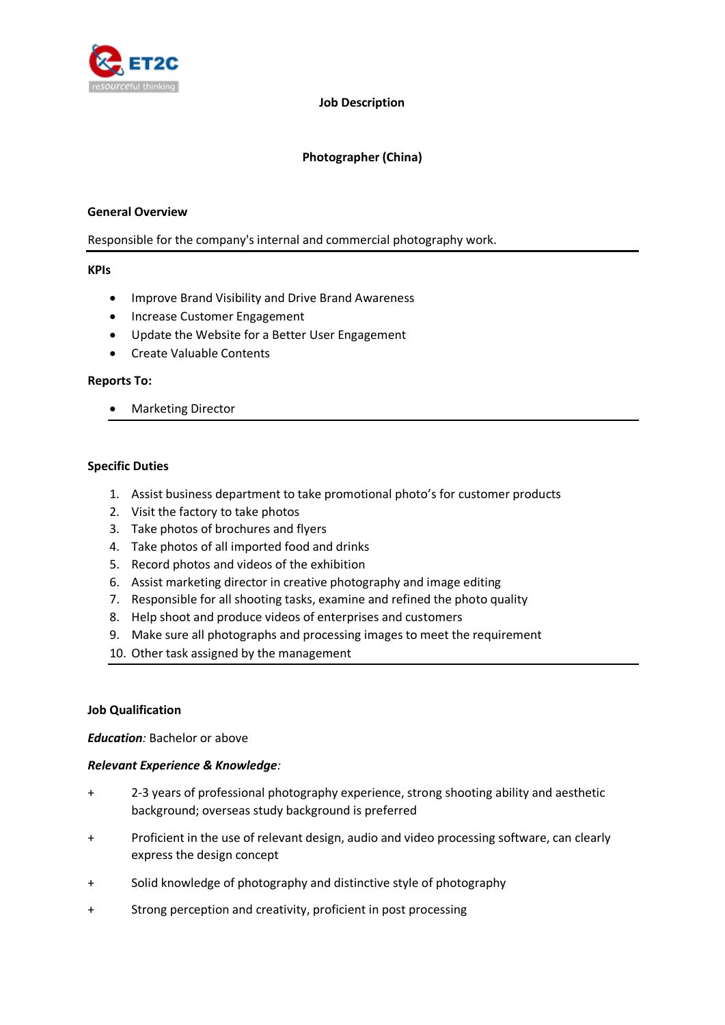

#### **Job Description**

## **Photographer (China)**

#### **General Overview**

### Responsible for the company's internal and commercial photography work.

#### **KPIs**

- Improve Brand Visibility and Drive Brand Awareness
- Increase Customer Engagement
- Update the Website for a Better User Engagement
- Create Valuable Contents

#### **Reports To:**

• Marketing Director

### **Specific Duties**

- 1. Assist business department to take promotional photo's for customer products
- 2. Visit the factory to take photos
- 3. Take photos of brochures and flyers
- 4. Take photos of all imported food and drinks
- 5. Record photos and videos of the exhibition
- 6. Assist marketing director in creative photography and image editing
- 7. Responsible for all shooting tasks, examine and refined the photo quality
- 8. Help shoot and produce videos of enterprises and customers
- 9. Make sure all photographs and processing images to meet the requirement
- 10. Other task assigned by the management

### **Job Qualification**

### *Education:* Bachelor or above

### *Relevant Experience & Knowledge:*

- + 2-3 years of professional photography experience, strong shooting ability and aesthetic background; overseas study background is preferred
- + Proficient in the use of relevant design, audio and video processing software, can clearly express the design concept
- + Solid knowledge of photography and distinctive style of photography
- + Strong perception and creativity, proficient in post processing